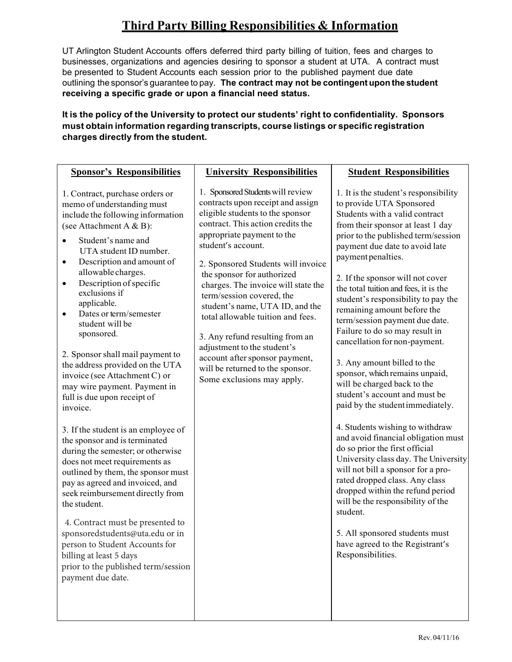## **Third Party Billing Responsibilities & Information**

UT Arlington Student Accounts offers deferred third party billing of tuition, fees and charges to businesses, organizations and agencies desiring to sponsor a student at UTA. A contract must be presented to Student Accounts each session prior to the published payment due date outlining the sponsor's guarantee to pay. **The contract may not be contingent upon the student receiving a specific grade or upon a financial need status.**

#### **It is the policy of the University to protect our students' right to confidentiality. Sponsors must obtain information regarding transcripts, course listings or specific registration charges directly from the student.**

| <b>Sponsor's Responsibilities</b>                                                                                                                                                                                                                                                                                                                                                                                                                                                                                                                                                                                                                                                                                                                                                                                                                                                                                                                                                                                                                   | <b>University Responsibilities</b>                                                                                                                                                                                                                                                                                                                                                                                                                                                                                                                                                        | <b>Student Responsibilities</b>                                                                                                                                                                                                                                                                                                                                                                                                                                                                                                                                                                                                                                                                                                                                                                                                                                                                                                                                                                                                                                                 |
|-----------------------------------------------------------------------------------------------------------------------------------------------------------------------------------------------------------------------------------------------------------------------------------------------------------------------------------------------------------------------------------------------------------------------------------------------------------------------------------------------------------------------------------------------------------------------------------------------------------------------------------------------------------------------------------------------------------------------------------------------------------------------------------------------------------------------------------------------------------------------------------------------------------------------------------------------------------------------------------------------------------------------------------------------------|-------------------------------------------------------------------------------------------------------------------------------------------------------------------------------------------------------------------------------------------------------------------------------------------------------------------------------------------------------------------------------------------------------------------------------------------------------------------------------------------------------------------------------------------------------------------------------------------|---------------------------------------------------------------------------------------------------------------------------------------------------------------------------------------------------------------------------------------------------------------------------------------------------------------------------------------------------------------------------------------------------------------------------------------------------------------------------------------------------------------------------------------------------------------------------------------------------------------------------------------------------------------------------------------------------------------------------------------------------------------------------------------------------------------------------------------------------------------------------------------------------------------------------------------------------------------------------------------------------------------------------------------------------------------------------------|
| 1. Contract, purchase orders or<br>memo of understanding must<br>include the following information<br>(see Attachment A & B):<br>Student's name and<br>UTA student ID number.<br>Description and amount of<br>٠<br>allowable charges.<br>Description of specific<br>$\bullet$<br>exclusions if<br>applicable.<br>Dates or term/semester<br>$\bullet$<br>student will be<br>sponsored.<br>2. Sponsor shall mail payment to<br>the address provided on the UTA<br>invoice (see Attachment C) or<br>may wire payment. Payment in<br>full is due upon receipt of<br>invoice.<br>3. If the student is an employee of<br>the sponsor and is terminated<br>during the semester; or otherwise<br>does not meet requirements as<br>outlined by them, the sponsor must<br>pay as agreed and invoiced, and<br>seek reimbursement directly from<br>the student.<br>4. Contract must be presented to<br>sponsoredstudents@uta.edu or in<br>person to Student Accounts for<br>billing at least 5 days<br>prior to the published term/session<br>payment due date. | 1. Sponsored Students will review<br>contracts upon receipt and assign<br>eligible students to the sponsor<br>contract. This action credits the<br>appropriate payment to the<br>student's account.<br>2. Sponsored Students will invoice<br>the sponsor for authorized<br>charges. The invoice will state the<br>term/session covered, the<br>student's name, UTA ID, and the<br>total allowable tuition and fees.<br>3. Any refund resulting from an<br>adjustment to the student's<br>account after sponsor payment,<br>will be returned to the sponsor.<br>Some exclusions may apply. | 1. It is the student's responsibility<br>to provide UTA Sponsored<br>Students with a valid contract<br>from their sponsor at least 1 day<br>prior to the published term/session<br>payment due date to avoid late<br>payment penalties.<br>2. If the sponsor will not cover<br>the total tuition and fees, it is the<br>student's responsibility to pay the<br>remaining amount before the<br>term/session payment due date.<br>Failure to do so may result in<br>cancellation for non-payment.<br>3. Any amount billed to the<br>sponsor, which remains unpaid,<br>will be charged back to the<br>student's account and must be<br>paid by the student immediately.<br>4. Students wishing to withdraw<br>and avoid financial obligation must<br>do so prior the first official<br>University class day. The University<br>will not bill a sponsor for a pro-<br>rated dropped class. Any class<br>dropped within the refund period<br>will be the responsibility of the<br>student.<br>5. All sponsored students must<br>have agreed to the Registrant's<br>Responsibilities. |
|                                                                                                                                                                                                                                                                                                                                                                                                                                                                                                                                                                                                                                                                                                                                                                                                                                                                                                                                                                                                                                                     |                                                                                                                                                                                                                                                                                                                                                                                                                                                                                                                                                                                           |                                                                                                                                                                                                                                                                                                                                                                                                                                                                                                                                                                                                                                                                                                                                                                                                                                                                                                                                                                                                                                                                                 |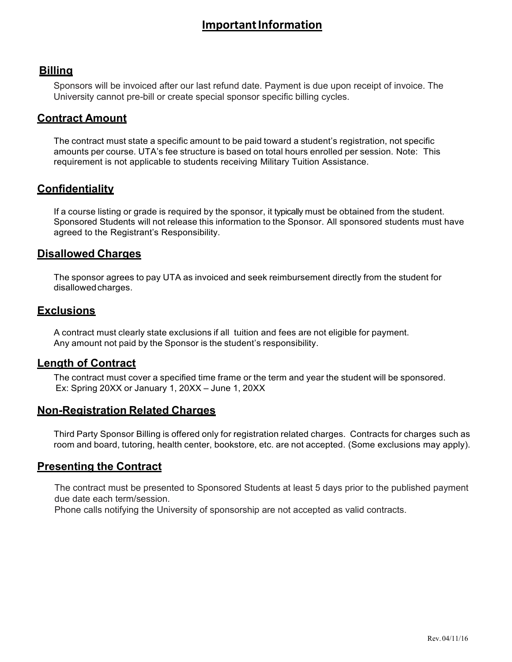## **Important Information**

#### **Billing**

Sponsors will be invoiced after our last refund date. Payment is due upon receipt of invoice. The University cannot pre-bill or create special sponsor specific billing cycles.

#### **Contract Amount**

The contract must state a specific amount to be paid toward a student's registration, not specific amounts per course. UTA's fee structure is based on total hours enrolled per session. Note: This requirement is not applicable to students receiving Military Tuition Assistance.

#### **Confidentiality**

If a course listing or grade is required by the sponsor, it typically must be obtained from the student. Sponsored Students will not release this information to the Sponsor. All sponsored students must have agreed to the Registrant's Responsibility.

#### **Disallowed Charges**

The sponsor agrees to pay UTA as invoiced and seek reimbursement directly from the student for disallowedcharges.

#### **Exclusions**

A contract must clearly state exclusions if all tuition and fees are not eligible for payment. Any amount not paid by the Sponsor is the student's responsibility.

#### **Length of Contract**

The contract must cover a specified time frame or the term and year the student will be sponsored. Ex: Spring 20XX or January 1, 20XX – June 1, 20XX

#### **Non-Registration Related Charges**

Third Party Sponsor Billing is offered only for registration related charges. Contracts for charges such as room and board, tutoring, health center, bookstore, etc. are not accepted. (Some exclusions may apply).

#### **Presenting the Contract**

The contract must be presented to Sponsored Students at least 5 days prior to the published payment date each term/session. due date each term/session.

Phone calls notifying the University of sponsorship are **not** accepted as valid contracts. Phone calls notifying the University of sponsorship are not accepted as valid contracts.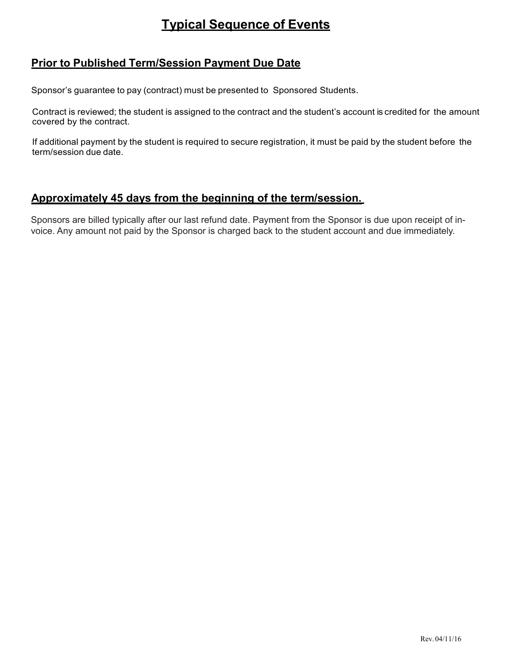# **Typical Sequence of Events**

### **Prior to Published Term/Session Payment Due Date**

Sponsor's guarantee to pay (contract) must be presented to Sponsored Students.

Contract is reviewed; the student is assigned to the contract and the student's account is credited for the amount covered by the contract.

If additional payment by the student is required to secure registration, it must be paid by the student before the term/session due date.

### **Approximately 45 days from the beginning of the term/session.**

Sponsors are billed typically after our last refund date. Payment from the Sponsor is due upon receipt of invoice. Any amount not paid by the Sponsor is charged back to the student account and due immediately.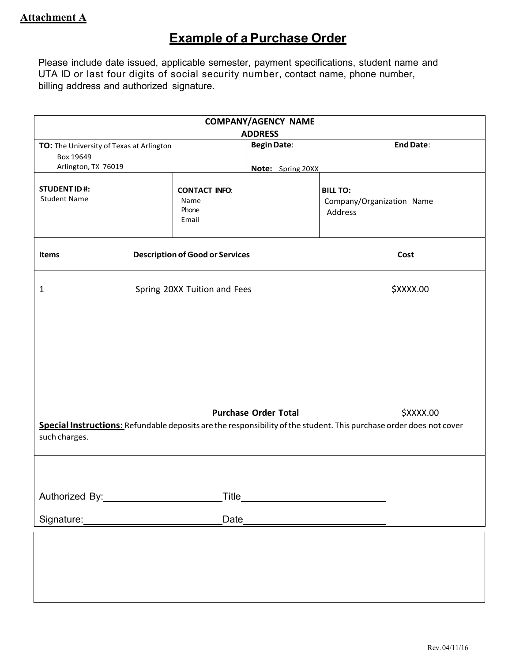# **Example of a Purchase Order**

Please include date issued, applicable semester, payment specifications, student name and UTA ID or last four digits of social security number, contact name, phone number, billing address and authorized signature.

| <b>COMPANY/AGENCY NAME</b>                                                   |                                                |                                                                               |                                                                                                                                  |  |  |
|------------------------------------------------------------------------------|------------------------------------------------|-------------------------------------------------------------------------------|----------------------------------------------------------------------------------------------------------------------------------|--|--|
| TO: The University of Texas at Arlington<br>Box 19649<br>Arlington, TX 76019 |                                                | <b>ADDRESS</b><br><b>End Date:</b><br><b>Begin Date:</b><br>Note: Spring 20XX |                                                                                                                                  |  |  |
| <b>STUDENT ID#:</b><br><b>Student Name</b>                                   | <b>CONTACT INFO:</b><br>Name<br>Phone<br>Email |                                                                               | <b>BILL TO:</b><br>Company/Organization Name<br>Address                                                                          |  |  |
| Items                                                                        | <b>Description of Good or Services</b>         |                                                                               | Cost                                                                                                                             |  |  |
| 1                                                                            | Spring 20XX Tuition and Fees                   |                                                                               | \$XXXX.00                                                                                                                        |  |  |
|                                                                              |                                                | <b>Purchase Order Total</b>                                                   | \$XXXX.00<br>Special Instructions: Refundable deposits are the responsibility of the student. This purchase order does not cover |  |  |
| such charges.                                                                |                                                |                                                                               |                                                                                                                                  |  |  |
|                                                                              |                                                |                                                                               |                                                                                                                                  |  |  |
|                                                                              |                                                |                                                                               |                                                                                                                                  |  |  |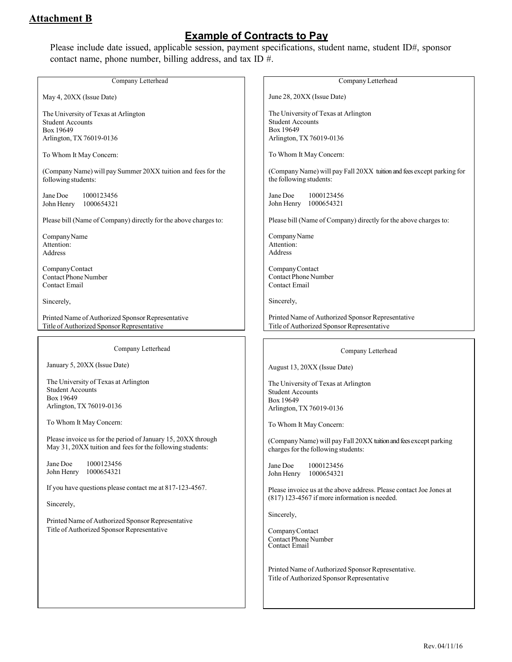### **Attachment B**

## **Example of Contracts to Pay**

Please include date issued, applicable session, payment specifications, student name, student ID#, sponsor contact name, phone number, billing address, and tax ID #.

| Company Letterhead                                                                                                        | Company Letterhead                                                                                       |  |
|---------------------------------------------------------------------------------------------------------------------------|----------------------------------------------------------------------------------------------------------|--|
| May 4, 20XX (Issue Date)                                                                                                  | June 28, 20XX (Issue Date)                                                                               |  |
| The University of Texas at Arlington<br><b>Student Accounts</b><br>Box 19649                                              | The University of Texas at Arlington<br><b>Student Accounts</b><br>Box 19649                             |  |
| Arlington, TX 76019-0136                                                                                                  | Arlington, TX 76019-0136                                                                                 |  |
| To Whom It May Concern:                                                                                                   | To Whom It May Concern:                                                                                  |  |
| (Company Name) will pay Summer 20XX tuition and fees for the<br>following students:                                       | (Company Name) will pay Fall 20XX tuition and fees except parking for<br>the following students:         |  |
| Jane Doe<br>1000123456<br>John Henry<br>1000654321                                                                        | Jane Doe<br>1000123456<br>John Henry 1000654321                                                          |  |
| Please bill (Name of Company) directly for the above charges to:                                                          | Please bill (Name of Company) directly for the above charges to:                                         |  |
| Company Name<br>Attention:<br>Address                                                                                     | Company Name<br>Attention:<br>Address                                                                    |  |
| Company Contact<br><b>Contact Phone Number</b><br>Contact Email                                                           | Company Contact<br><b>Contact Phone Number</b><br>Contact Email                                          |  |
| Sincerely,                                                                                                                | Sincerely,                                                                                               |  |
| Printed Name of Authorized Sponsor Representative<br>Title of Authorized Sponsor Representative                           | Printed Name of Authorized Sponsor Representative<br>Title of Authorized Sponsor Representative          |  |
| Company Letterhead                                                                                                        |                                                                                                          |  |
|                                                                                                                           | Company Letterhead                                                                                       |  |
| January 5, 20XX (Issue Date)                                                                                              | August 13, 20XX (Issue Date)                                                                             |  |
| The University of Texas at Arlington                                                                                      | The University of Texas at Arlington                                                                     |  |
| <b>Student Accounts</b><br>Box 19649                                                                                      | <b>Student Accounts</b><br>Box 19649                                                                     |  |
| Arlington, TX 76019-0136                                                                                                  | Arlington, TX 76019-0136                                                                                 |  |
| To Whom It May Concern:                                                                                                   | To Whom It May Concern:                                                                                  |  |
| Please invoice us for the period of January 15, 20XX through<br>May 31, 20XX tuition and fees for the following students: | (Company Name) will pay Fall 20XX tuition and fees except parking<br>charges for the following students: |  |
| Jane Doe<br>1000123456<br>John Henry<br>1000654321                                                                        | 1000123456<br>Jane Doe<br>John Henry<br>1000654321                                                       |  |
| If you have questions please contact me at 817-123-4567.                                                                  | Please invoice us at the above address. Please contact Joe Jones at                                      |  |
| Sincerely,                                                                                                                | $(817)$ 123-4567 if more information is needed.                                                          |  |
| Printed Name of Authorized Sponsor Representative                                                                         | Sincerely,                                                                                               |  |
| Title of Authorized Sponsor Representative                                                                                | Company Contact<br><b>Contact Phone Number</b><br>Contact Email                                          |  |
|                                                                                                                           | Printed Name of Authorized Sponsor Representative.<br>Title of Authorized Sponsor Representative         |  |